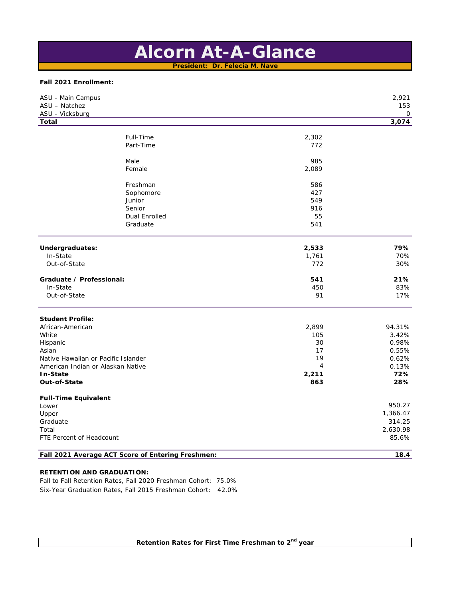# **Alcorn At-A-Glance**

**President: Dr. Felecia M. Nave**

### **Fall 2021 Enrollment:**

| ASU - Main Campus                   |                                                   |                | 2,921    |
|-------------------------------------|---------------------------------------------------|----------------|----------|
| ASU - Natchez                       |                                                   |                | 153      |
| ASU - Vicksburg                     |                                                   |                | 0        |
| <b>Total</b>                        |                                                   |                | 3,074    |
|                                     | Full-Time                                         | 2,302          |          |
|                                     | Part-Time                                         | 772            |          |
|                                     |                                                   |                |          |
|                                     | Male                                              | 985            |          |
|                                     | Female                                            | 2,089          |          |
|                                     |                                                   |                |          |
|                                     | Freshman                                          | 586            |          |
|                                     | Sophomore                                         | 427            |          |
|                                     | Junior                                            | 549            |          |
|                                     | Senior                                            | 916            |          |
|                                     | <b>Dual Enrolled</b>                              | 55             |          |
|                                     | Graduate                                          | 541            |          |
| Undergraduates:                     |                                                   | 2,533          | 79%      |
| In-State                            |                                                   | 1,761          | 70%      |
| Out-of-State                        |                                                   | 772            | 30%      |
|                                     |                                                   |                |          |
| Graduate / Professional:            |                                                   | 541            | 21%      |
| In-State                            |                                                   | 450            | 83%      |
| Out-of-State                        |                                                   | 91             | 17%      |
| <b>Student Profile:</b>             |                                                   |                |          |
| African-American                    |                                                   | 2,899          | 94.31%   |
| White                               |                                                   | 105            | 3.42%    |
| Hispanic                            |                                                   | 30             | 0.98%    |
| Asian                               |                                                   | 17             | 0.55%    |
| Native Hawaiian or Pacific Islander |                                                   | 19             | 0.62%    |
| American Indian or Alaskan Native   |                                                   | $\overline{4}$ | 0.13%    |
| In-State                            |                                                   | 2,211          | 72%      |
| Out-of-State                        |                                                   | 863            | 28%      |
| <b>Full-Time Equivalent</b>         |                                                   |                |          |
| Lower                               |                                                   |                | 950.27   |
| Upper                               |                                                   |                | 1,366.47 |
| Graduate                            |                                                   |                | 314.25   |
| Total                               |                                                   |                | 2,630.98 |
| FTE Percent of Headcount            |                                                   |                | 85.6%    |
|                                     | Fall 2021 Average ACT Score of Entering Freshmen: |                | 18.4     |

#### **RETENTION AND GRADUATION:**

Fall to Fall Retention Rates, Fall 2020 Freshman Cohort: 75.0% Six-Year Graduation Rates, Fall 2015 Freshman Cohort: 42.0%

**Retention Rates for First Time Freshman to 2nd year**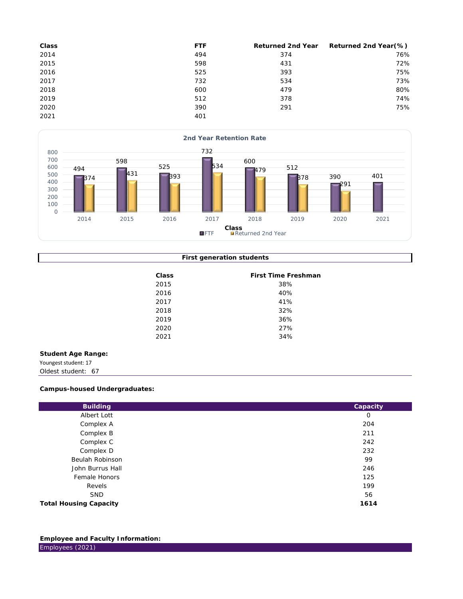| <b>Class</b> | <b>FTF</b> | <b>Returned 2nd Year</b> | Returned 2nd Year(%) |
|--------------|------------|--------------------------|----------------------|
| 2014         | 494        | 374                      | 76%                  |
| 2015         | 598        | 431                      | 72%                  |
| 2016         | 525        | 393                      | 75%                  |
| 2017         | 732        | 534                      | 73%                  |
| 2018         | 600        | 479                      | 80%                  |
| 2019         | 512        | 378                      | 74%                  |
| 2020         | 390        | 291                      | 75%                  |
| 2021         | 401        |                          |                      |



## **First generation students**

| <b>Class</b> | <b>First Time Freshman</b> |
|--------------|----------------------------|
| 2015         | 38%                        |
| 2016         | 40%                        |
| 2017         | 41%                        |
| 2018         | 32%                        |
| 2019         | 36%                        |
| 2020         | 27%                        |
| 2021         | 34%                        |

# **Student Age Range:**

Youngest student: 17 Oldest student: 67

# **Campus-housed Undergraduates:**

| <b>Building</b>               | Capacity    |
|-------------------------------|-------------|
| Albert Lott                   | $\mathbf 0$ |
| Complex A                     | 204         |
| Complex B                     | 211         |
| Complex C                     | 242         |
| Complex D                     | 232         |
| Beulah Robinson               | 99          |
| John Burrus Hall              | 246         |
| <b>Female Honors</b>          | 125         |
| Revels                        | 199         |
| <b>SND</b>                    | 56          |
| <b>Total Housing Capacity</b> | 1614        |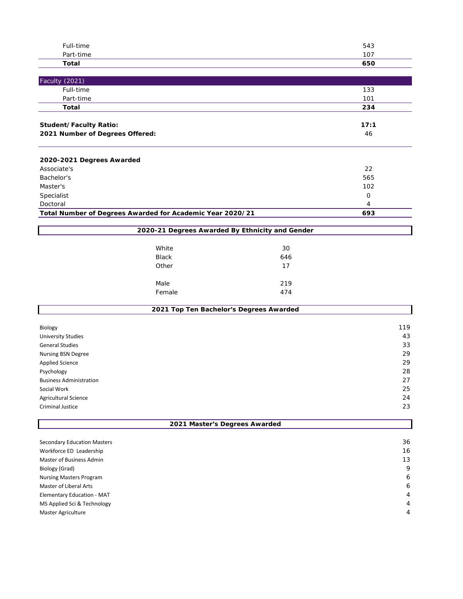| Full-time                          |                                                           |     | 543          |
|------------------------------------|-----------------------------------------------------------|-----|--------------|
| Part-time                          |                                                           |     | 107          |
| Total                              |                                                           |     | 650          |
|                                    |                                                           |     |              |
| Faculty (2021)                     |                                                           |     |              |
| Full-time                          |                                                           |     | 133          |
| Part-time                          |                                                           |     | 101<br>234   |
| <b>Total</b>                       |                                                           |     |              |
| <b>Student/Faculty Ratio:</b>      |                                                           |     | 17:1         |
| 2021 Number of Degrees Offered:    |                                                           |     | 46           |
|                                    |                                                           |     |              |
|                                    |                                                           |     |              |
| 2020-2021 Degrees Awarded          |                                                           |     |              |
| Associate's                        |                                                           |     | 22           |
| Bachelor's                         |                                                           |     | 565          |
| Master's                           |                                                           |     | 102          |
| Specialist                         |                                                           |     | $\mathsf{O}$ |
| Doctoral                           |                                                           |     | 4            |
|                                    | Total Number of Degrees Awarded for Academic Year 2020/21 |     | 693          |
|                                    | 2020-21 Degrees Awarded By Ethnicity and Gender           |     |              |
|                                    |                                                           |     |              |
|                                    | White                                                     | 30  |              |
|                                    | <b>Black</b>                                              | 646 |              |
|                                    | Other                                                     | 17  |              |
|                                    |                                                           |     |              |
|                                    | Male                                                      | 219 |              |
|                                    | Female                                                    | 474 |              |
|                                    | 2021 Top Ten Bachelor's Degrees Awarded                   |     |              |
|                                    |                                                           |     |              |
| Biology                            |                                                           |     | 119          |
| <b>University Studies</b>          |                                                           |     | 43           |
| <b>General Studies</b>             |                                                           |     | 33           |
| Nursing BSN Degree                 |                                                           |     | 29           |
| <b>Applied Science</b>             |                                                           |     | 29           |
| Psychology                         |                                                           |     | 28           |
| <b>Business Administration</b>     |                                                           |     | 27           |
| Social Work                        |                                                           |     | 25           |
| Agricultural Science               |                                                           |     | 24           |
| Criminal Justice                   |                                                           |     | 23           |
|                                    |                                                           |     |              |
|                                    | 2021 Master's Degrees Awarded                             |     |              |
| <b>Secondary Education Masters</b> |                                                           |     | 36           |
| Workforce ED Leadership            |                                                           |     | 16           |
| Master of Business Admin           |                                                           |     | 13           |
| <b>Biology (Grad)</b>              |                                                           |     | 9            |
| <b>Nursing Masters Program</b>     |                                                           |     | 6            |
| Master of Liberal Arts             |                                                           |     | 6            |
| Elementary Education - MAT         |                                                           |     | 4            |
|                                    |                                                           |     | 4            |
| MS Applied Sci & Technology        |                                                           |     | 4            |
| Master Agriculture                 |                                                           |     |              |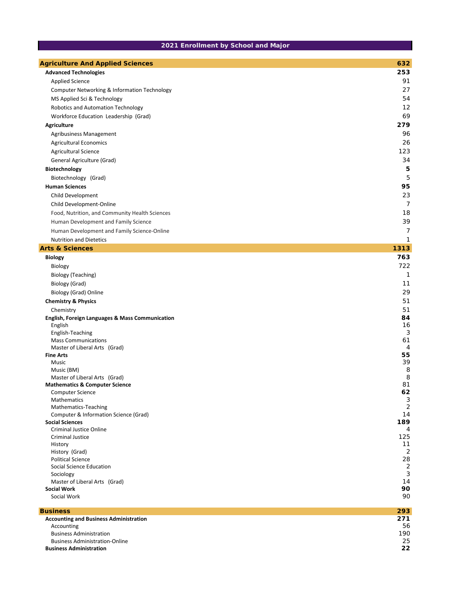**2021 Enrollment by School and Major**

|                                                                            | 632            |
|----------------------------------------------------------------------------|----------------|
| <b>Agriculture And Applied Sciences</b><br><b>Advanced Technologies</b>    | 253            |
| <b>Applied Science</b>                                                     | 91             |
| Computer Networking & Information Technology                               | 27             |
| MS Applied Sci & Technology                                                | 54             |
| Robotics and Automation Technology                                         | 12             |
| Workforce Education Leadership (Grad)                                      | 69             |
| <b>Agriculture</b>                                                         | 279            |
| Agribusiness Management                                                    | 96             |
| <b>Agricultural Economics</b>                                              | 26             |
| <b>Agricultural Science</b>                                                | 123            |
| General Agriculture (Grad)                                                 | 34             |
| <b>Biotechnology</b>                                                       | 5              |
| Biotechnology (Grad)                                                       | 5              |
| <b>Human Sciences</b>                                                      | 95             |
| Child Development                                                          | 23             |
| Child Development-Online                                                   | 7              |
| Food, Nutrition, and Community Health Sciences                             | 18             |
| Human Development and Family Science                                       | 39             |
| Human Development and Family Science-Online                                | $\overline{7}$ |
| <b>Nutrition and Dietetics</b>                                             | 1              |
| <b>Arts &amp; Sciences</b>                                                 | 1313           |
| <b>Biology</b>                                                             | 763            |
| Biology                                                                    | 722            |
| Biology (Teaching)                                                         | -1             |
| Biology (Grad)                                                             | 11             |
| Biology (Grad) Online                                                      | 29             |
| <b>Chemistry &amp; Physics</b>                                             | 51             |
| Chemistry                                                                  | 51             |
| <b>English, Foreign Languages &amp; Mass Communication</b>                 | 84             |
| English                                                                    | 16<br>3        |
| English-Teaching<br><b>Mass Communications</b>                             | 61             |
| Master of Liberal Arts (Grad)                                              | 4              |
| <b>Fine Arts</b>                                                           | 55             |
| Music                                                                      | 39             |
| Music (BM)                                                                 | 8              |
| Master of Liberal Arts (Grad)<br><b>Mathematics &amp; Computer Science</b> | 8<br>81        |
| Computer Science                                                           | 62             |
| Mathematics                                                                | 3              |
| Mathematics-Teaching                                                       | 2              |
| Computer & Information Science (Grad)                                      | 14             |
| <b>Social Sciences</b><br><b>Criminal Justice Online</b>                   | 189<br>4       |
| Criminal Justice                                                           | 125            |
| History                                                                    | 11             |
| History (Grad)                                                             | 2              |
| <b>Political Science</b>                                                   | 28             |
| Social Science Education<br>Sociology                                      | 2<br>3         |
| Master of Liberal Arts (Grad)                                              | 14             |
| <b>Social Work</b>                                                         | 90             |
| Social Work                                                                | 90             |
| <b>Business</b>                                                            | 293            |
| <b>Accounting and Business Administration</b>                              | 271            |
| Accounting                                                                 | 56             |
| <b>Business Administration</b>                                             | 190            |
| <b>Business Administration-Online</b>                                      | 25             |
| <b>Business Administration</b>                                             | 22             |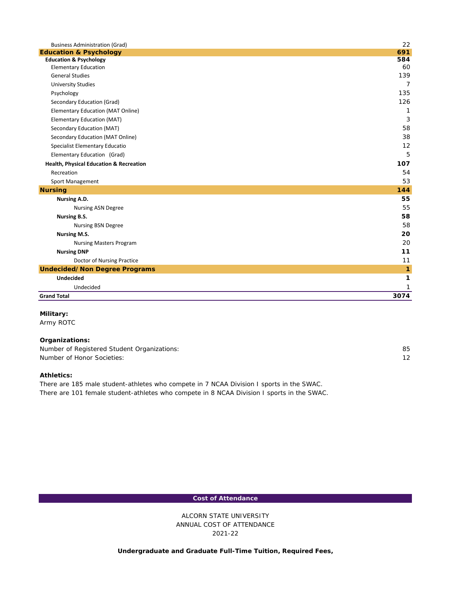| <b>Business Administration (Grad)</b>              | 22             |
|----------------------------------------------------|----------------|
| <b>Education &amp; Psychology</b>                  | 691            |
| <b>Education &amp; Psychology</b>                  | 584            |
| <b>Elementary Education</b>                        | 60             |
| <b>General Studies</b>                             | 139            |
| <b>University Studies</b>                          | $\overline{7}$ |
| Psychology                                         | 135            |
| Secondary Education (Grad)                         | 126            |
| <b>Elementary Education (MAT Online)</b>           | 1              |
| <b>Elementary Education (MAT)</b>                  | 3              |
| Secondary Education (MAT)                          | 58             |
| Secondary Education (MAT Online)                   | 38             |
| <b>Specialist Elementary Educatio</b>              | 12             |
| Elementary Education (Grad)                        | 5              |
| <b>Health, Physical Education &amp; Recreation</b> | 107            |
| Recreation                                         | 54             |
| <b>Sport Management</b>                            | 53             |
| <b>Nursing</b>                                     | 144            |
| Nursing A.D.                                       | 55             |
| <b>Nursing ASN Degree</b>                          | 55             |
| Nursing B.S.                                       | 58             |
| <b>Nursing BSN Degree</b>                          | 58             |
| <b>Nursing M.S.</b>                                | 20             |
| <b>Nursing Masters Program</b>                     | 20             |
| <b>Nursing DNP</b>                                 | 11             |
| Doctor of Nursing Practice                         | 11             |
| <b>Undecided/Non Degree Programs</b>               | 1              |
| <b>Undecided</b>                                   | 1              |
| Undecided                                          |                |
| <b>Grand Total</b>                                 | 3074           |

## **Military:**

Army ROTC

## **Organizations:**

| Number of Registered Student Organizations: |  |
|---------------------------------------------|--|
| Number of Honor Societies:                  |  |

#### **Athletics:**

There are 185 male student-athletes who compete in 7 NCAA Division I sports in the SWAC. There are 101 female student-athletes who compete in 8 NCAA Division I sports in the SWAC.

**Cost of Attendance**

ANNUAL COST OF ATTENDANCE ALCORN STATE UNIVERSITY 2021-22

**Undergraduate and Graduate Full-Time Tuition, Required Fees,**